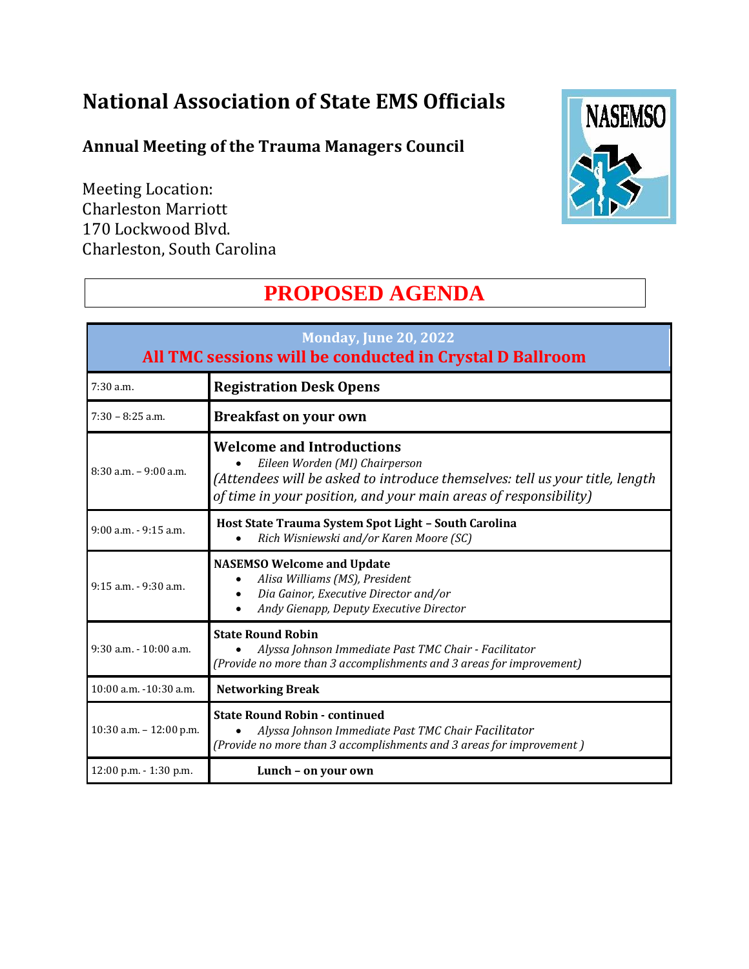## **National Association of State EMS Officials**

## **Annual Meeting of the Trauma Managers Council**

Meeting Location: Charleston Marriott 170 Lockwood Blvd. Charleston, South Carolina



## **PROPOSED AGENDA**

| <b>Monday, June 20, 2022</b><br>All TMC sessions will be conducted in Crystal D Ballroom |                                                                                                                                                                                                                        |  |
|------------------------------------------------------------------------------------------|------------------------------------------------------------------------------------------------------------------------------------------------------------------------------------------------------------------------|--|
| 7:30 a.m.                                                                                | <b>Registration Desk Opens</b>                                                                                                                                                                                         |  |
| $7:30 - 8:25$ a.m.                                                                       | <b>Breakfast on your own</b>                                                                                                                                                                                           |  |
| $8:30$ a.m. $-9:00$ a.m.                                                                 | <b>Welcome and Introductions</b><br>Eileen Worden (MI) Chairperson<br>(Attendees will be asked to introduce themselves: tell us your title, length<br>of time in your position, and your main areas of responsibility) |  |
| $9:00$ a.m. $-9:15$ a.m.                                                                 | Host State Trauma System Spot Light - South Carolina<br>Rich Wisniewski and/or Karen Moore (SC)                                                                                                                        |  |
| $9:15$ a.m. $-9:30$ a.m.                                                                 | <b>NASEMSO Welcome and Update</b><br>Alisa Williams (MS), President<br>$\bullet$<br>Dia Gainor, Executive Director and/or<br>Andy Gienapp, Deputy Executive Director                                                   |  |
| $9:30$ a.m. $-10:00$ a.m.                                                                | <b>State Round Robin</b><br>Alyssa Johnson Immediate Past TMC Chair - Facilitator<br>(Provide no more than 3 accomplishments and 3 areas for improvement)                                                              |  |
| 10:00 a.m. -10:30 a.m.                                                                   | <b>Networking Break</b>                                                                                                                                                                                                |  |
| 10:30 a.m. - 12:00 p.m.                                                                  | <b>State Round Robin - continued</b><br>Alyssa Johnson Immediate Past TMC Chair Facilitator<br>(Provide no more than 3 accomplishments and 3 areas for improvement)                                                    |  |
| $12:00$ p.m. $-1:30$ p.m.                                                                | Lunch – on your own                                                                                                                                                                                                    |  |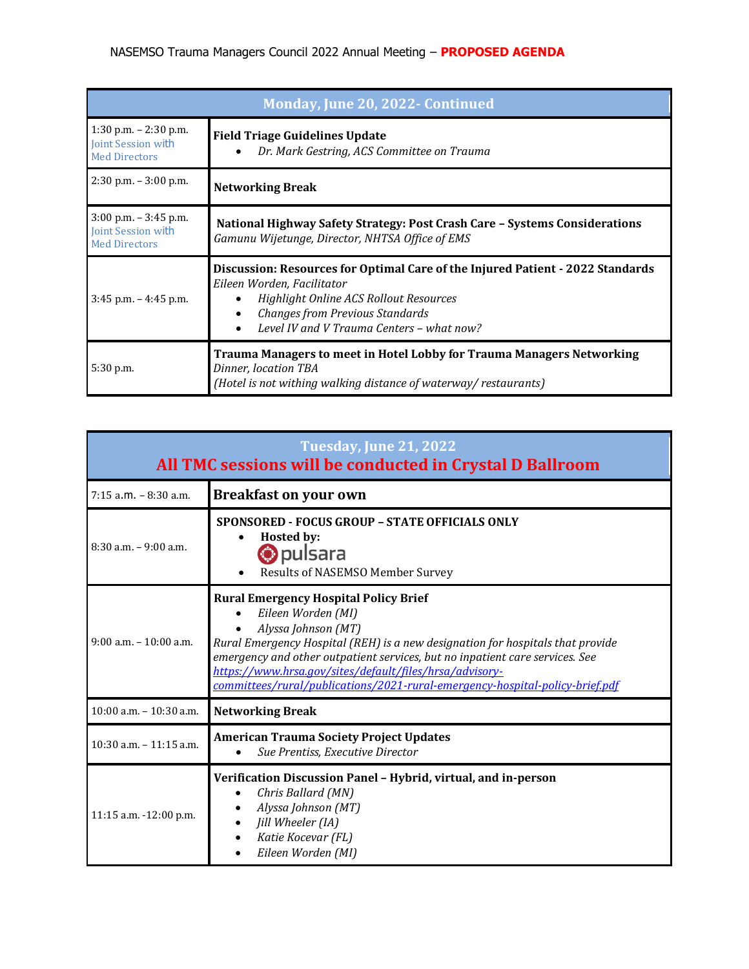| Monday, June 20, 2022- Continued                                       |                                                                                                                                                                                                                                                                    |  |
|------------------------------------------------------------------------|--------------------------------------------------------------------------------------------------------------------------------------------------------------------------------------------------------------------------------------------------------------------|--|
| 1:30 p.m. $- 2:30$ p.m.<br>Joint Session with<br><b>Med Directors</b>  | <b>Field Triage Guidelines Update</b><br>• Dr. Mark Gestring, ACS Committee on Trauma                                                                                                                                                                              |  |
| $2:30$ p.m. $-3:00$ p.m.                                               | <b>Networking Break</b>                                                                                                                                                                                                                                            |  |
| $3:00$ p.m. $-3:45$ p.m.<br>Joint Session with<br><b>Med Directors</b> | National Highway Safety Strategy: Post Crash Care - Systems Considerations<br>Gamunu Wijetunge, Director, NHTSA Office of EMS                                                                                                                                      |  |
| $3:45$ p.m. $-4:45$ p.m.                                               | Discussion: Resources for Optimal Care of the Injured Patient - 2022 Standards<br>Eileen Worden, Facilitator<br>Highlight Online ACS Rollout Resources<br>$\bullet$<br>• Changes from Previous Standards<br>Level IV and V Trauma Centers - what now?<br>$\bullet$ |  |
| 5:30 p.m.                                                              | <b>Trauma Managers to meet in Hotel Lobby for Trauma Managers Networking</b><br>Dinner, location TBA<br>(Hotel is not withing walking distance of waterway/restaurants)                                                                                            |  |

| Tuesday, June 21, 2022<br>All TMC sessions will be conducted in Crystal D Ballroom |                                                                                                                                                                                                                                                                                                                                                                                                        |  |
|------------------------------------------------------------------------------------|--------------------------------------------------------------------------------------------------------------------------------------------------------------------------------------------------------------------------------------------------------------------------------------------------------------------------------------------------------------------------------------------------------|--|
| $7:15$ a.m. $-8:30$ a.m.                                                           | <b>Breakfast on your own</b>                                                                                                                                                                                                                                                                                                                                                                           |  |
| $8:30$ a.m. $-9:00$ a.m.                                                           | <b>SPONSORED - FOCUS GROUP - STATE OFFICIALS ONLY</b><br>Hosted by:<br><b>O</b> pulsara<br>Results of NASEMSO Member Survey                                                                                                                                                                                                                                                                            |  |
| $9:00$ a.m. $-10:00$ a.m.                                                          | <b>Rural Emergency Hospital Policy Brief</b><br>Eileen Worden (MI)<br>Alyssa Johnson (MT)<br>Rural Emergency Hospital (REH) is a new designation for hospitals that provide<br>emergency and other outpatient services, but no inpatient care services. See<br>https://www.hrsa.gov/sites/default/files/hrsa/advisory-<br>committees/rural/publications/2021-rural-emergency-hospital-policy-brief.pdf |  |
| 10:00 a.m. - 10:30 a.m.                                                            | <b>Networking Break</b>                                                                                                                                                                                                                                                                                                                                                                                |  |
| $10:30$ a.m. $-11:15$ a.m.                                                         | <b>American Trauma Society Project Updates</b><br>Sue Prentiss, Executive Director                                                                                                                                                                                                                                                                                                                     |  |
| 11:15 a.m. -12:00 p.m.                                                             | Verification Discussion Panel - Hybrid, virtual, and in-person<br>Chris Ballard (MN)<br>Alyssa Johnson (MT)<br>Jill Wheeler (IA)<br>Katie Kocevar (FL)<br>Eileen Worden (MI)                                                                                                                                                                                                                           |  |